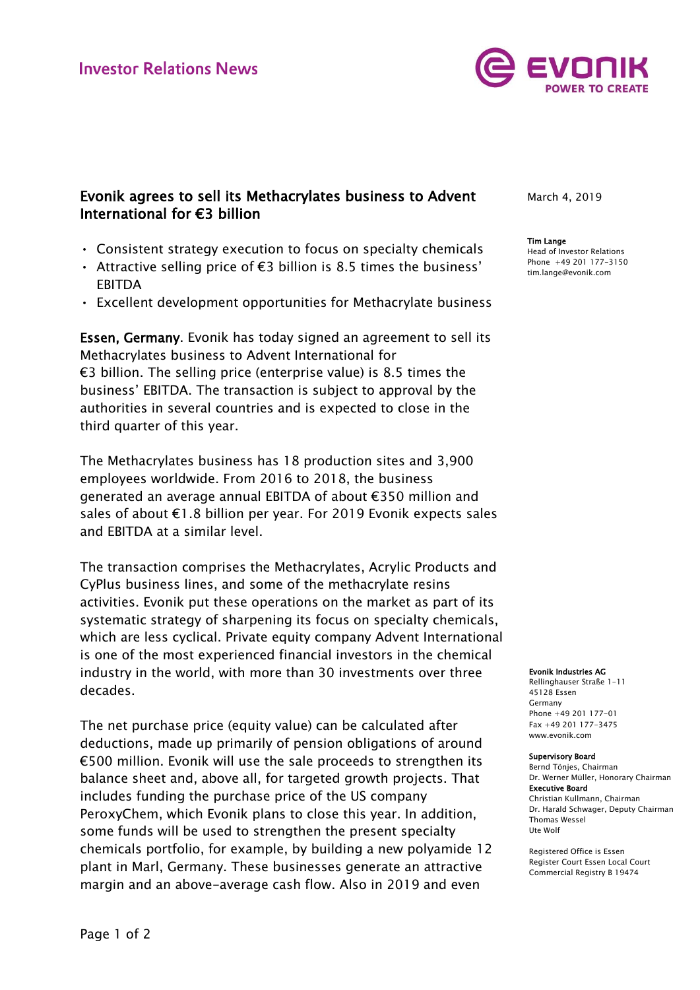

# Evonik agrees to sell its Methacrylates business to Advent International for €3 billion

- Consistent strategy execution to focus on specialty chemicals
- Attractive selling price of €3 billion is 8.5 times the business' EBITDA
- Excellent development opportunities for Methacrylate business

Essen, Germany. Evonik has today signed an agreement to sell its Methacrylates business to Advent International for €3 billion. The selling price (enterprise value) is 8.5 times the business' EBITDA. The transaction is subject to approval by the authorities in several countries and is expected to close in the third quarter of this year.

The Methacrylates business has 18 production sites and 3,900 employees worldwide. From 2016 to 2018, the business generated an average annual EBITDA of about €350 million and sales of about €1.8 billion per year. For 2019 Evonik expects sales and EBITDA at a similar level.

The transaction comprises the Methacrylates, Acrylic Products and CyPlus business lines, and some of the methacrylate resins activities. Evonik put these operations on the market as part of its systematic strategy of sharpening its focus on specialty chemicals, which are less cyclical. Private equity company Advent International is one of the most experienced financial investors in the chemical industry in the world, with more than 30 investments over three decades.

The net purchase price (equity value) can be calculated after deductions, made up primarily of pension obligations of around €500 million. Evonik will use the sale proceeds to strengthen its balance sheet and, above all, for targeted growth projects. That includes funding the purchase price of the US company PeroxyChem, which Evonik plans to close this year. In addition, some funds will be used to strengthen the present specialty chemicals portfolio, for example, by building a new polyamide 12 plant in Marl, Germany. These businesses generate an attractive margin and an above-average cash flow. Also in 2019 and even

March 4, 2019

### Tim Lange

Head of Investor Relations Phone +49 201 177-3150 tim.lange@evonik.com

#### Evonik Industries AG

Rellinghauser Straße 1-11 45128 Essen Germany Phone +49 201 177-01 Fax +49 201 177-3475 www.evonik.com

#### Supervisory Board

Bernd Tönjes, Chairman Dr. Werner Müller, Honorary Chairman Executive Board Christian Kullmann, Chairman Dr. Harald Schwager, Deputy Chairman Thomas Wessel Ute Wolf

Registered Office is Essen Register Court Essen Local Court Commercial Registry B 19474